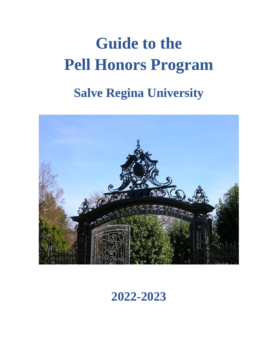# **Guide to the Pell Honors Program**

## **Salve Regina University**



**2022-2023**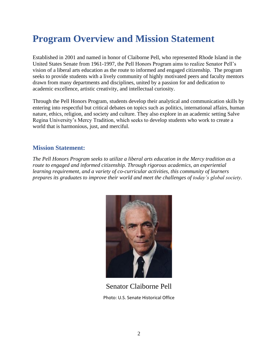### **Program Overview and Mission Statement**

Established in 2001 and named in honor of Claiborne Pell, who represented Rhode Island in the United States Senate from 1961-1997, the Pell Honors Program aims to realize Senator Pell's vision of a liberal arts education as the route to informed and engaged citizenship. The program seeks to provide students with a lively community of highly motivated peers and faculty mentors drawn from many departments and disciplines, united by a passion for and dedication to academic excellence, artistic creativity, and intellectual curiosity.

Through the Pell Honors Program, students develop their analytical and communication skills by entering into respectful but critical debates on topics such as politics, international affairs, human nature, ethics, religion, and society and culture. They also explore in an academic setting Salve Regina University's Mercy Tradition, which seeks to develop students who work to create a world that is harmonious, just, and merciful.

#### **Mission Statement:**

*The Pell Honors Program seeks to utilize a liberal arts education in the Mercy tradition as a route to engaged and informed citizenship. Through rigorous academics, an experiential learning requirement, and a variety of co-curricular activities, this community of learners prepares its graduates to improve their world and meet the challenges of today's global society.*



Senator Claiborne Pell Photo: U.S. Senate Historical Office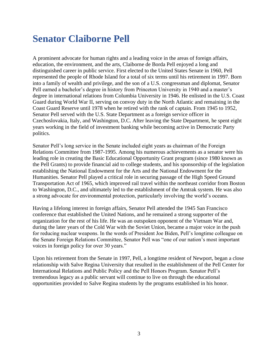### **Senator Claiborne Pell**

A prominent advocate for human rights and a leading voice in the areas of foreign affairs, education, the environment, and the arts, Claiborne de Borda Pell enjoyed a long and distinguished career in public service. First elected to the United States Senate in 1960, Pell represented the people of Rhode Island for a total of six terms until his retirement in 1997. Born into a family of wealth and privilege, and the son of a U.S. congressman and diplomat, Senator Pell earned a bachelor's degree in history from Princeton University in 1940 and a master's degree in international relations from Columbia University in 1946. He enlisted in the U.S. Coast Guard during World War II, serving on convoy duty in the North Atlantic and remaining in the Coast Guard Reserve until 1978 when he retired with the rank of captain. From 1945 to 1952, Senator Pell served with the U.S. State Department as a foreign service officer in Czechoslovakia, Italy, and Washington, D.C. After leaving the State Department, he spent eight years working in the field of investment banking while becoming active in Democratic Party politics.

Senator Pell's long service in the Senate included eight years as chairman of the Foreign Relations Committee from 1987-1995. Among his numerous achievements as a senator were his leading role in creating the Basic Educational Opportunity Grant program (since 1980 known as the Pell Grants) to provide financial aid to college students, and his sponsorship of the legislation establishing the National Endowment for the Arts and the National Endowment for the Humanities. Senator Pell played a critical role in securing passage of the High Speed Ground Transportation Act of 1965, which improved rail travel within the northeast corridor from Boston to Washington, D.C., and ultimately led to the establishment of the Amtrak system. He was also a strong advocate for environmental protection, particularly involving the world's oceans.

Having a lifelong interest in foreign affairs, Senator Pell attended the 1945 San Francisco conference that established the United Nations, and he remained a strong supporter of the organization for the rest of his life. He was an outspoken opponent of the Vietnam War and, during the later years of the Cold War with the Soviet Union, became a major voice in the push for reducing nuclear weapons. In the words of President Joe Biden, Pell's longtime colleague on the Senate Foreign Relations Committee, Senator Pell was "one of our nation's most important voices in foreign policy for over 30 years."

Upon his retirement from the Senate in 1997, Pell, a longtime resident of Newport, began a close relationship with Salve Regina University that resulted in the establishment of the Pell Center for International Relations and Public Policy and the Pell Honors Program. Senator Pell's tremendous legacy as a public servant will continue to live on through the educational opportunities provided to Salve Regina students by the programs established in his honor.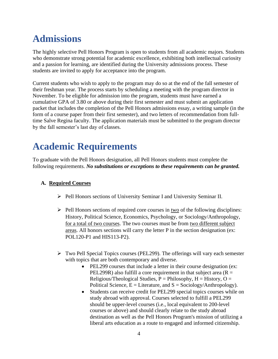### **Admissions**

The highly selective Pell Honors Program is open to students from all academic majors. Students who demonstrate strong potential for academic excellence, exhibiting both intellectual curiosity and a passion for learning, are identified during the University admissions process. These students are invited to apply for acceptance into the program.

Current students who wish to apply to the program may do so at the end of the fall semester of their freshman year. The process starts by scheduling a meeting with the program director in November. To be eligible for admission into the program, students must have earned a cumulative GPA of 3.80 or above during their first semester and must submit an application packet that includes the completion of the Pell Honors admissions essay, a writing sample (in the form of a course paper from their first semester), and two letters of recommendation from fulltime Salve Regina faculty. The application materials must be submitted to the program director by the fall semester's last day of classes.

### **Academic Requirements**

To graduate with the Pell Honors designation, all Pell Honors students must complete the following requirements. *No substitutions or exceptions to these requirements can be granted.*

#### **A. Required Courses**

- ➢ Pell Honors sections of University Seminar I and University Seminar II.
- $\triangleright$  Pell Honors sections of required core courses in two of the following disciplines: History, Political Science, Economics, Psychology, or Sociology/Anthropology, for a total of two courses. The two courses must be from two different subject areas. All honors sections will carry the letter P in the section designation (ex: POL120-P1 and HIS113-P2).
- $\triangleright$  Two Pell Special Topics courses (PEL299). The offerings will vary each semester with topics that are both contemporary and diverse.
	- PEL299 courses that include a letter in their course designation (ex: PEL299R) also fulfill a core requirement in that subject area  $(R =$ Religious/Theological Studies,  $P =$  Philosophy,  $H =$  History,  $O =$ Political Science,  $E =$  Literature, and  $S =$  Sociology/Anthropology).
	- Students can receive credit for PEL299 special topics courses while on study abroad with approval. Courses selected to fulfill a PEL299 should be upper-level courses (i.e., local equivalent to 200-level courses or above) and should clearly relate to the study abroad destination as well as the Pell Honors Program's mission of utilizing a liberal arts education as a route to engaged and informed citizenship.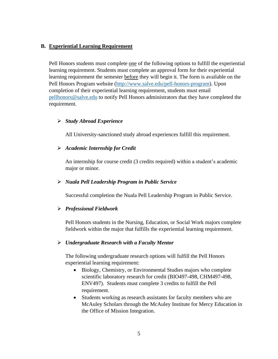#### **B. Experiential Learning Requirement**

Pell Honors students must complete one of the following options to fulfill the experiential learning requirement. Students must complete an approval form for their experiential learning requirement the semester before they will begin it. The form is available on the Pell Honors Program website [\(http://www.salve.edu/pell-honors-program\)](http://www.salve.edu/pell-honors-program). Upon completion of their experiential learning requirement, students must email [pellhonors@salve.edu](mailto:pellhonors@salve.edu) to notify Pell Honors administrators that they have completed the requirement.

#### ➢ *Study Abroad Experience*

All University-sanctioned study abroad experiences fulfill this requirement.

#### ➢ *Academic Internship for Credit*

An internship for course credit (3 credits required) within a student's academic major or minor.

#### ➢ *Nuala Pell Leadership Program in Public Service*

Successful completion the Nuala Pell Leadership Program in Public Service.

#### ➢ *Professional Fieldwork*

Pell Honors students in the Nursing, Education, or Social Work majors complete fieldwork within the major that fulfills the experiential learning requirement.

#### ➢ *Undergraduate Research with a Faculty Mentor*

The following undergraduate research options will fulfill the Pell Honors experiential learning requirement:

- Biology, Chemistry, or Environmental Studies majors who complete scientific laboratory research for credit (BIO497-498, CHM497-498, ENV497). Students must complete 3 credits to fulfill the Pell requirement.
- Students working as research assistants for faculty members who are McAuley Scholars through the McAuley Institute for Mercy Education in the Office of Mission Integration.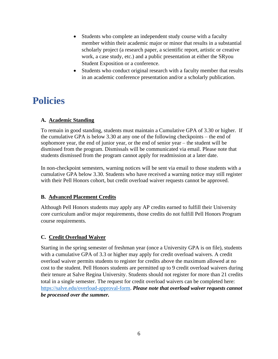- Students who complete an independent study course with a faculty member within their academic major or minor that results in a substantial scholarly project (a research paper, a scientific report, artistic or creative work, a case study, etc.) and a public presentation at either the SRyou Student Exposition or a conference.
- Students who conduct original research with a faculty member that results in an academic conference presentation and/or a scholarly publication.

### **Policies**

#### **A. Academic Standing**

To remain in good standing, students must maintain a Cumulative GPA of 3.30 or higher. If the cumulative GPA is below 3.30 at any one of the following checkpoints – the end of sophomore year, the end of junior year, or the end of senior year – the student will be dismissed from the program. Dismissals will be communicated via email. Please note that students dismissed from the program cannot apply for readmission at a later date.

In non-checkpoint semesters, warning notices will be sent via email to those students with a cumulative GPA below 3.30. Students who have received a warning notice may still register with their Pell Honors cohort, but credit overload waiver requests cannot be approved.

#### **B. Advanced Placement Credits**

Although Pell Honors students may apply any AP credits earned to fulfill their University core curriculum and/or major requirements, those credits do not fulfill Pell Honors Program course requirements.

#### **C. Credit Overload Waiver**

Starting in the spring semester of freshman year (once a University GPA is on file), students with a cumulative GPA of 3.3 or higher may apply for credit overload waivers. A credit overload waiver permits students to register for credits above the maximum allowed at no cost to the student. Pell Honors students are permitted up to 9 credit overload waivers during their tenure at Salve Regina University. Students should not register for more than 21 credits total in a single semester. The request for credit overload waivers can be completed here: [https://salve.edu/overload-approval-form.](https://salve.edu/overload-approval-form) *Please note that overload waiver requests cannot be processed over the summer.*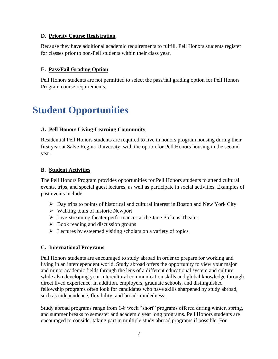#### **D. Priority Course Registration**

Because they have additional academic requirements to fulfill, Pell Honors students register for classes prior to non-Pell students within their class year.

#### **E. Pass/Fail Grading Option**

Pell Honors students are not permitted to select the pass/fail grading option for Pell Honors Program course requirements.

### **Student Opportunities**

#### **A. Pell Honors Living-Learning Community**

Residential Pell Honors students are required to live in honors program housing during their first year at Salve Regina University, with the option for Pell Honors housing in the second year.

#### **B. Student Activities**

The Pell Honors Program provides opportunities for Pell Honors students to attend cultural events, trips, and special guest lectures, as well as participate in social activities. Examples of past events include:

- $\triangleright$  Day trips to points of historical and cultural interest in Boston and New York City
- ➢ Walking tours of historic Newport
- ➢ Live-streaming theater performances at the Jane Pickens Theater
- $\triangleright$  Book reading and discussion groups
- $\triangleright$  Lectures by esteemed visiting scholars on a variety of topics

#### **C. International Programs**

Pell Honors students are encouraged to study abroad in order to prepare for working and living in an interdependent world. Study abroad offers the opportunity to view your major and minor academic fields through the lens of a different educational system and culture while also developing your intercultural communication skills and global knowledge through direct lived experience. In addition, employers, graduate schools, and distinguished fellowship programs often look for candidates who have skills sharpened by study abroad, such as independence, flexibility, and broad-mindedness.

Study abroad programs range from 1-8 week "short" programs offered during winter, spring, and summer breaks to semester and academic year long programs. Pell Honors students are encouraged to consider taking part in multiple study abroad programs if possible. For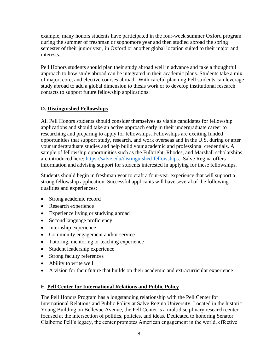example, many honors students have participated in the four-week summer Oxford program during the summer of freshman or sophomore year and then studied abroad the spring semester of their junior year, in Oxford or another global location suited to their major and interests.

Pell Honors students should plan their study abroad well in advance and take a thoughtful approach to how study abroad can be integrated in their academic plans. Students take a mix of major, core, and elective courses abroad. With careful planning Pell students can leverage study abroad to add a global dimension to thesis work or to develop institutional research contacts to support future fellowship applications.

#### **D. Distinguished Fellowships**

All Pell Honors students should consider themselves as viable candidates for fellowship applications and should take an active approach early in their undergraduate career to researching and preparing to apply for fellowships. Fellowships are exciting funded opportunities that support study, research, and work overseas and in the U.S. during or after your undergraduate studies and help build your academic and professional credentials. A sample of fellowship opportunities such as the Fulbright, Rhodes, and Marshall scholarships are introduced here: [https://salve.edu/distinguished-fellowships.](https://salve.edu/distinguished-fellowships) Salve Regina offers information and advising support for students interested in applying for these fellowships.

Students should begin in freshman year to craft a four-year experience that will support a strong fellowship application. Successful applicants will have several of the following qualities and experiences:

- Strong academic record
- Research experience
- Experience living or studying abroad
- Second language proficiency
- Internship experience
- Community engagement and/or service
- Tutoring, mentoring or teaching experience
- Student leadership experience
- Strong faculty references
- Ability to write well
- A vision for their future that builds on their academic and extracurricular experience

#### **E. Pell Center for International Relations and Public Policy**

The Pell Honors Program has a longstanding relationship with the Pell Center for International Relations and Public Policy at Salve Regina University. Located in the historic Young Building on Bellevue Avenue, the Pell Center is a multidisciplinary research center focused at the intersection of politics, policies, and ideas. Dedicated to honoring Senator Claiborne Pell's legacy, the center promotes American engagement in the world, effective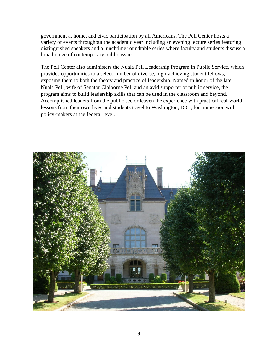government at home, and civic participation by all Americans. The Pell Center hosts a variety of events throughout the academic year including an evening lecture series featuring distinguished speakers and a lunchtime roundtable series where faculty and students discuss a broad range of contemporary public issues.

The Pell Center also administers the Nuala Pell Leadership Program in Public Service, which provides opportunities to a select number of diverse, high-achieving student fellows, exposing them to both the theory and practice of leadership. Named in honor of the late Nuala Pell, wife of Senator Claiborne Pell and an avid supporter of public service, the program aims to build leadership skills that can be used in the classroom and beyond. Accomplished leaders from the public sector leaven the experience with practical real-world lessons from their own lives and students travel to Washington, D.C., for immersion with policy-makers at the federal level.